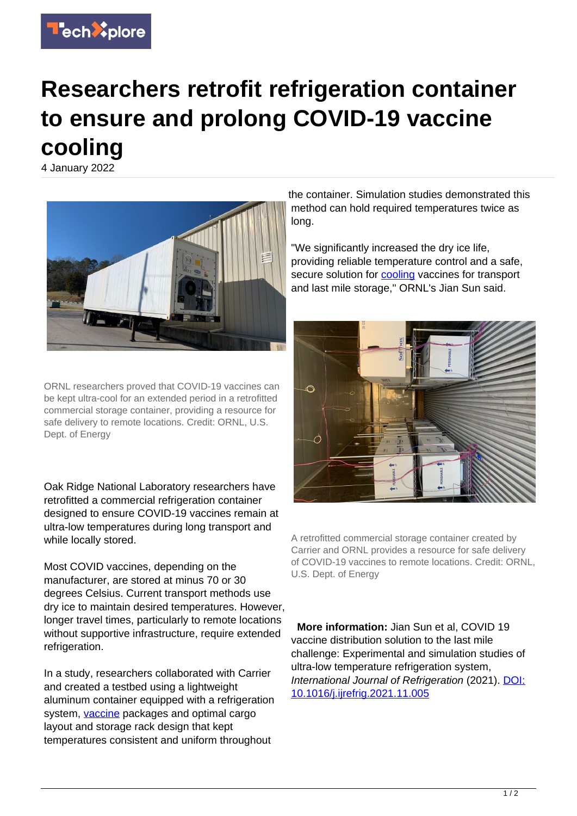

## **Researchers retrofit refrigeration container to ensure and prolong COVID-19 vaccine cooling**

4 January 2022



ORNL researchers proved that COVID-19 vaccines can be kept ultra-cool for an extended period in a retrofitted commercial storage container, providing a resource for safe delivery to remote locations. Credit: ORNL, U.S. Dept. of Energy

Oak Ridge National Laboratory researchers have retrofitted a commercial refrigeration container designed to ensure COVID-19 vaccines remain at ultra-low temperatures during long transport and while locally stored.

Most COVID vaccines, depending on the manufacturer, are stored at minus 70 or 30 degrees Celsius. Current transport methods use dry ice to maintain desired temperatures. However, longer travel times, particularly to remote locations without supportive infrastructure, require extended refrigeration.

In a study, researchers collaborated with Carrier and created a testbed using a lightweight aluminum container equipped with a refrigeration system, [vaccine](https://techxplore.com/tags/vaccine/) packages and optimal cargo layout and storage rack design that kept temperatures consistent and uniform throughout

the container. Simulation studies demonstrated this method can hold required temperatures twice as long.

"We significantly increased the dry ice life, providing reliable temperature control and a safe, secure solution for [cooling](https://techxplore.com/tags/cooling/) vaccines for transport and last mile storage," ORNL's Jian Sun said.



A retrofitted commercial storage container created by Carrier and ORNL provides a resource for safe delivery of COVID-19 vaccines to remote locations. Credit: ORNL, U.S. Dept. of Energy

 **More information:** Jian Sun et al, COVID 19 vaccine distribution solution to the last mile challenge: Experimental and simulation studies of ultra-low temperature refrigeration system, International Journal of Refrigeration (2021). [DOI:](http://dx.doi.org/10.1016/j.ijrefrig.2021.11.005) [10.1016/j.ijrefrig.2021.11.005](http://dx.doi.org/10.1016/j.ijrefrig.2021.11.005)